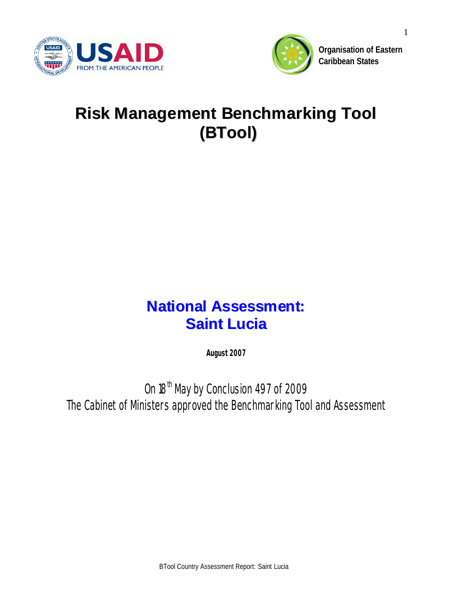



**Organisation of Eastern Caribbean States**

# **Risk Management Benchmarking Tool (BTool)**

## **National Assessment: Saint Lucia**

**August 2007**

*On 18th May by Conclusion 497 of 2009 The Cabinet of Ministers approved the Benchmarking Tool and Assessment*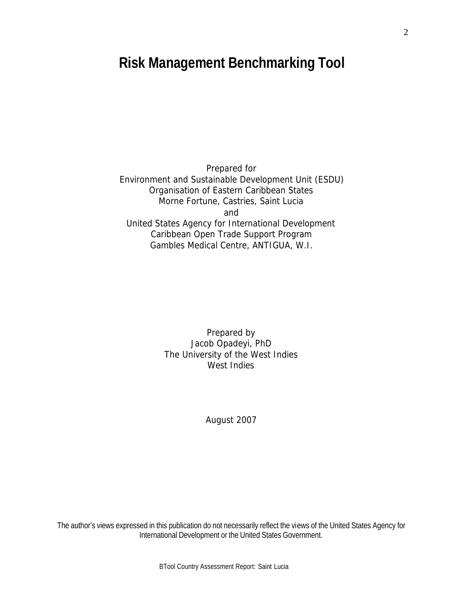## **Risk Management Benchmarking Tool**

Prepared for Environment and Sustainable Development Unit (ESDU) Organisation of Eastern Caribbean States Morne Fortune, Castries, Saint Lucia and United States Agency for International Development Caribbean Open Trade Support Program Gambles Medical Centre, ANTIGUA, W.I.

> Prepared by Jacob Opadeyi, PhD The University of the West Indies West Indies

> > August 2007

The author's views expressed in this publication do not necessarily reflect the views of the United States Agency for International Development or the United States Government.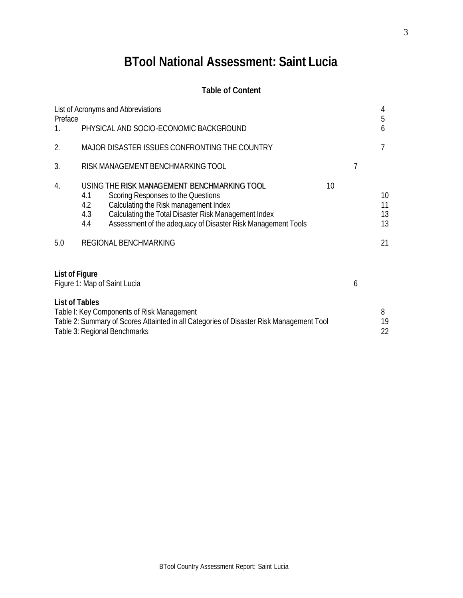## **BTool National Assessment: Saint Lucia**

## **Table of Content**

| Preface               |                          | List of Acronyms and Abbreviations                                                                                                                                                                                                                                          |    |   | 4<br>5                     |
|-----------------------|--------------------------|-----------------------------------------------------------------------------------------------------------------------------------------------------------------------------------------------------------------------------------------------------------------------------|----|---|----------------------------|
|                       |                          | PHYSICAL AND SOCIO-ECONOMIC BACKGROUND                                                                                                                                                                                                                                      |    |   | 6                          |
| 2.                    |                          | MAJOR DISASTER ISSUES CONFRONTING THE COUNTRY                                                                                                                                                                                                                               |    |   |                            |
| 3.                    |                          | RISK MANAGEMENT BENCHMARKING TOOL                                                                                                                                                                                                                                           |    | 7 |                            |
| 4.<br>5.0             | 4.1<br>4.2<br>4.3<br>4.4 | USING THE RISK MANAGEMENT BENCHMARKING TOOL<br>Scoring Responses to the Questions<br>Calculating the Risk management Index<br>Calculating the Total Disaster Risk Management Index<br>Assessment of the adequacy of Disaster Risk Management Tools<br>REGIONAL BENCHMARKING | 10 |   | 10<br>11<br>13<br>13<br>21 |
|                       |                          |                                                                                                                                                                                                                                                                             |    |   |                            |
| <b>List of Figure</b> |                          | Figure 1: Map of Saint Lucia                                                                                                                                                                                                                                                |    | 6 |                            |
| <b>List of Tables</b> |                          | Table I: Key Components of Risk Management<br>Table 2: Summary of Scores Attainted in all Categories of Disaster Risk Management Tool<br>Table 3: Regional Benchmarks                                                                                                       |    |   | 8<br>19<br>22              |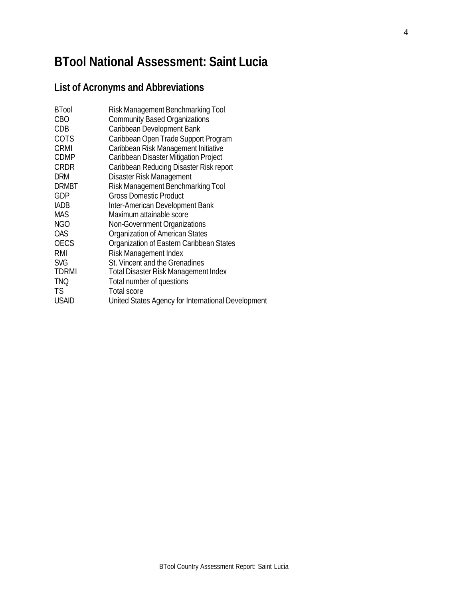## **BTool National Assessment: Saint Lucia**

## **List of Acronyms and Abbreviations**

| <b>BTool</b> | Risk Management Benchmarking Tool                  |
|--------------|----------------------------------------------------|
| <b>CBO</b>   | <b>Community Based Organizations</b>               |
| CDB          | Caribbean Development Bank                         |
| COTS         | Caribbean Open Trade Support Program               |
| <b>CRMI</b>  | Caribbean Risk Management Initiative               |
| <b>CDMP</b>  | Caribbean Disaster Mitigation Project              |
| <b>CRDR</b>  | Caribbean Reducing Disaster Risk report            |
| <b>DRM</b>   | Disaster Risk Management                           |
| <b>DRMBT</b> | Risk Management Benchmarking Tool                  |
| GDP          | <b>Gross Domestic Product</b>                      |
| <b>IADB</b>  | Inter-American Development Bank                    |
| <b>MAS</b>   | Maximum attainable score                           |
| <b>NGO</b>   | Non-Government Organizations                       |
| <b>OAS</b>   | Organization of American States                    |
| <b>OECS</b>  | Organization of Eastern Caribbean States           |
| RMI          | Risk Management Index                              |
| <b>SVG</b>   | St. Vincent and the Grenadines                     |
| <b>TDRMI</b> | <b>Total Disaster Risk Management Index</b>        |
| <b>TNQ</b>   | Total number of questions                          |
| TS.          | <b>Total score</b>                                 |
| <b>USAID</b> | United States Agency for International Development |
|              |                                                    |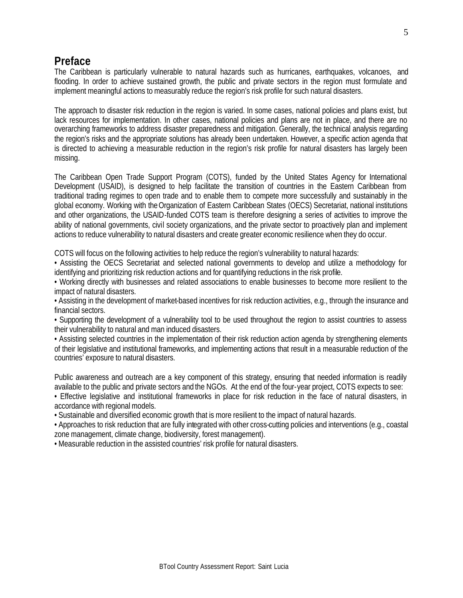## **Preface**

The Caribbean is particularly vulnerable to natural hazards such as hurricanes, earthquakes, volcanoes, and flooding. In order to achieve sustained growth, the public and private sectors in the region must formulate and implement meaningful actions to measurably reduce the region's risk profile for such natural disasters.

The approach to disaster risk reduction in the region is varied. In some cases, national policies and plans exist, but lack resources for implementation. In other cases, national policies and plans are not in place, and there are no overarching frameworks to address disaster preparedness and mitigation. Generally, the technical analysis regarding the region's risks and the appropriate solutions has already been undertaken. However, a specific action agenda that is directed to achieving a measurable reduction in the region's risk profile for natural disasters has largely been missing.

The Caribbean Open Trade Support Program (COTS), funded by the United States Agency for International Development (USAID), is designed to help facilitate the transition of countries in the Eastern Caribbean from traditional trading regimes to open trade and to enable them to compete more successfully and sustainably in the global economy. Working with theOrganization of Eastern Caribbean States (OECS) Secretariat, national institutions and other organizations, the USAID-funded COTS team is therefore designing a series of activities to improve the ability of national governments, civil society organizations, and the private sector to proactively plan and implement actions to reduce vulnerability to natural disasters and create greater economic resilience when they do occur.

COTS will focus on the following activities to help reduce the region's vulnerability to natural hazards:

• Assisting the OECS Secretariat and selected national governments to develop and utilize a methodology for identifying and prioritizing risk reduction actions and for quantifying reductions in the risk profile.

• Working directly with businesses and related associations to enable businesses to become more resilient to the impact of natural disasters.

• Assisting in the development of market-based incentives for risk reduction activities, e.g., through the insurance and financial sectors.

• Supporting the development of a vulnerability tool to be used throughout the region to assist countries to assess their vulnerability to natural and man induced disasters.

• Assisting selected countries in the implementation of their risk reduction action agenda by strengthening elements of their legislative and institutional frameworks, and implementing actions that result in a measurable reduction of the countries' exposure to natural disasters.

Public awareness and outreach are a key component of this strategy, ensuring that needed information is readily available to the public and private sectors and the NGOs. At the end of the four-year project, COTS expects to see:

• Effective legislative and institutional frameworks in place for risk reduction in the face of natural disasters, in accordance with regional models.

• Sustainable and diversified economic growth that is more resilient to the impact of natural hazards.

• Approaches to risk reduction that are fully integrated with other cross-cutting policies and interventions (e.g., coastal zone management, climate change, biodiversity, forest management).

• Measurable reduction in the assisted countries' risk profile for natural disasters.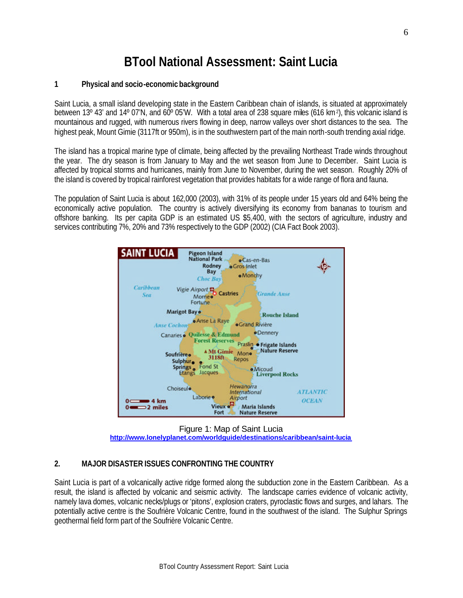## **BTool National Assessment: Saint Lucia**

## **1 Physical and socio-economic background**

Saint Lucia, a small island developing state in the Eastern Caribbean chain of islands, is situated at approximately between 13° 43' and 14° 07'N, and 60° 05'W. With a total area of 238 square miles (616 km<sup>2</sup>), this volcanic island is mountainous and rugged, with numerous rivers flowing in deep, narrow valleys over short distances to the sea. The highest peak, Mount Gimie (3117ft or 950m), is in the southwestern part of the main north-south trending axial ridge.

The island has a tropical marine type of climate, being affected by the prevailing Northeast Trade winds throughout the year. The dry season is from January to May and the wet season from June to December. Saint Lucia is affected by tropical storms and hurricanes, mainly from June to November, during the wet season. Roughly 20% of the island is covered by tropical rainforest vegetation that provides habitats for a wide range of flora and fauna.

The population of Saint Lucia is about 162,000 (2003), with 31% of its people under 15 years old and 64% being the economically active population. The country is actively diversifying its economy from bananas to tourism and offshore banking. Its per capita GDP is an estimated US \$5,400, with the sectors of agriculture, industry and services contributing 7%, 20% and 73% respectively to the GDP (2002) (CIA Fact Book 2003).



Figure 1: Map of Saint Lucia **http://www.lonelyplanet.com/worldguide/destinations/caribbean/saint-lucia**

## **2. MAJOR DISASTER ISSUES CONFRONTING THE COUNTRY**

Saint Lucia is part of a volcanically active ridge formed along the subduction zone in the Eastern Caribbean. As a result, the island is affected by volcanic and seismic activity. The landscape carries evidence of volcanic activity, namely lava domes, volcanic necks/plugs or 'pitons', explosion craters, pyroclastic flows and surges, and lahars. The potentially active centre is the Soufrière Volcanic Centre, found in the southwest of the island. The Sulphur Springs geothermal field form part of the Soufrière Volcanic Centre.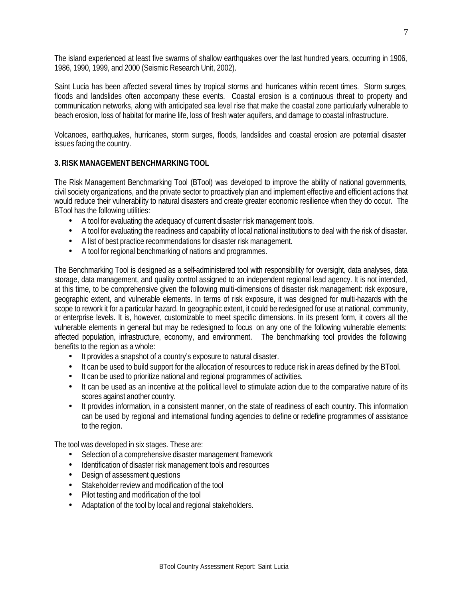The island experienced at least five swarms of shallow earthquakes over the last hundred years, occurring in 1906, 1986, 1990, 1999, and 2000 (Seismic Research Unit, 2002).

Saint Lucia has been affected several times by tropical storms and hurricanes within recent times. Storm surges, floods and landslides often accompany these events. Coastal erosion is a continuous threat to property and communication networks, along with anticipated sea level rise that make the coastal zone particularly vulnerable to beach erosion, loss of habitat for marine life, loss of fresh water aquifers, and damage to coastal infrastructure.

Volcanoes, earthquakes, hurricanes, storm surges, floods, landslides and coastal erosion are potential disaster issues facing the country.

## **3. RISK MANAGEMENT BENCHMARKING TOOL**

The Risk Management Benchmarking Tool (BTool) was developed to improve the ability of national governments, civil society organizations, and the private sector to proactively plan and implement effective and efficient actions that would reduce their vulnerability to natural disasters and create greater economic resilience when they do occur. The BTool has the following utilities:

- A tool for evaluating the adequacy of current disaster risk management tools.
- A tool for evaluating the readiness and capability of local national institutions to deal with the risk of disaster.
- A list of best practice recommendations for disaster risk management.
- A tool for regional benchmarking of nations and programmes.

The Benchmarking Tool is designed as a self-administered tool with responsibility for oversight, data analyses, data storage, data management, and quality control assigned to an independent regional lead agency. It is not intended, at this time, to be comprehensive given the following multi-dimensions of disaster risk management: risk exposure, geographic extent, and vulnerable elements. In terms of risk exposure, it was designed for multi-hazards with the scope to rework it for a particular hazard. In geographic extent, it could be redesigned for use at national, community, or enterprise levels. It is, however, customizable to meet specific dimensions. In its present form, it covers all the vulnerable elements in general but may be redesigned to focus on any one of the following vulnerable elements: affected population, infrastructure, economy, and environment. The benchmarking tool provides the following benefits to the region as a whole:

- It provides a snapshot of a country's exposure to natural disaster.
- It can be used to build support for the allocation of resources to reduce risk in areas defined by the BTool.
- It can be used to prioritize national and regional programmes of activities.
- It can be used as an incentive at the political level to stimulate action due to the comparative nature of its scores against another country.
- It provides information, in a consistent manner, on the state of readiness of each country. This information can be used by regional and international funding agencies to define or redefine programmes of assistance to the region.

The tool was developed in six stages. These are:

- Selection of a comprehensive disaster management framework
- Identification of disaster risk management tools and resources
- Design of assessment questions
- Stakeholder review and modification of the tool
- Pilot testing and modification of the tool
- Adaptation of the tool by local and regional stakeholders.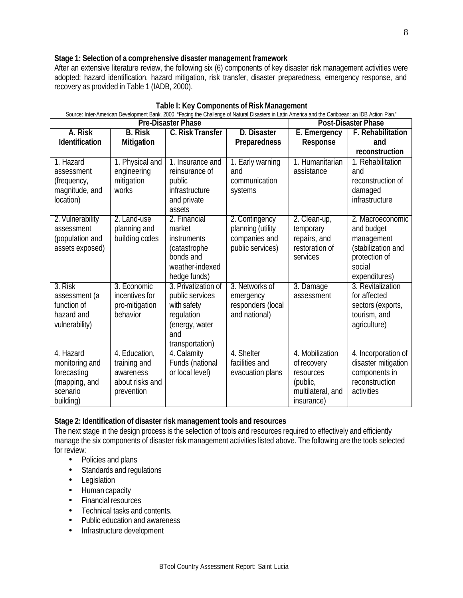## **Stage 1: Selection of a comprehensive disaster management framework**

After an extensive literature review, the following six (6) components of key disaster risk management activities were adopted: hazard identification, hazard mitigation, risk transfer, disaster preparedness, emergency response, and recovery as provided in Table 1 (IADB, 2000).

| Source: Inter-American Development Bank, 2000, "Facing the Challenge of Natural Disasters in Latin America and the Caribbean: an IDB Action Plan." |                                                                             |                                                                                                                 |                                                                          |                                                                                            |                                                                                                                |
|----------------------------------------------------------------------------------------------------------------------------------------------------|-----------------------------------------------------------------------------|-----------------------------------------------------------------------------------------------------------------|--------------------------------------------------------------------------|--------------------------------------------------------------------------------------------|----------------------------------------------------------------------------------------------------------------|
|                                                                                                                                                    |                                                                             | <b>Pre-Disaster Phase</b>                                                                                       |                                                                          |                                                                                            | <b>Post-Disaster Phase</b>                                                                                     |
| A. Risk                                                                                                                                            | <b>B.</b> Risk                                                              | <b>C. Risk Transfer</b>                                                                                         | D. Disaster                                                              | E. Emergency                                                                               | <b>F. Rehabilitation</b>                                                                                       |
| Identification                                                                                                                                     | Mitigation                                                                  |                                                                                                                 | <b>Preparedness</b>                                                      | Response                                                                                   | and                                                                                                            |
|                                                                                                                                                    |                                                                             |                                                                                                                 |                                                                          |                                                                                            | reconstruction                                                                                                 |
| 1. Hazard<br>assessment<br>(frequency,<br>magnitude, and<br>location)                                                                              | 1. Physical and<br>engineering<br>mitigation<br>works                       | 1. Insurance and<br>reinsurance of<br>public<br>infrastructure<br>and private<br>assets                         | 1. Early warning<br>and<br>communication<br>systems                      | 1. Humanitarian<br>assistance                                                              | 1. Rehabilitation<br>and<br>reconstruction of<br>damaged<br>infrastructure                                     |
| 2. Vulnerability<br>assessment<br>(population and<br>assets exposed)                                                                               | 2. Land-use<br>planning and<br>building codes                               | 2. Financial<br>market<br><i>instruments</i><br>(catastrophe<br>bonds and<br>weather-indexed<br>hedge funds)    | 2. Contingency<br>planning (utility<br>companies and<br>public services) | 2. Clean-up,<br>temporary<br>repairs, and<br>restoration of<br>services                    | 2. Macroeconomic<br>and budget<br>management<br>(stabilization and<br>protection of<br>social<br>expenditures) |
| 3. Risk<br>assessment (a<br>function of<br>hazard and<br>vulnerability)                                                                            | 3. Economic<br>incentives for<br>pro-mitigation<br>behavior                 | 3. Privatization of<br>public services<br>with safety<br>regulation<br>(energy, water<br>and<br>transportation) | 3. Networks of<br>emergency<br>responders (local<br>and national)        | 3. Damage<br>assessment                                                                    | 3. Revitalization<br>for affected<br>sectors (exports,<br>tourism, and<br>agriculture)                         |
| 4. Hazard<br>monitoring and<br>forecasting<br>(mapping, and<br>scenario<br>building)                                                               | 4. Education,<br>training and<br>awareness<br>about risks and<br>prevention | 4. Calamity<br>Funds (national<br>or local level)                                                               | 4. Shelter<br>facilities and<br>evacuation plans                         | 4. Mobilization<br>of recovery<br>resources<br>(public,<br>multilateral, and<br>insurance) | 4. Incorporation of<br>disaster mitigation<br>components in<br>reconstruction<br>activities                    |

## **Stage 2: Identification of disaster risk management tools and resources**

The next stage in the design process is the selection of tools and resources required to effectively and efficiently manage the six components of disaster risk management activities listed above. The following are the tools selected for review:

- Policies and plans
- Standards and regulations
- Legislation
- Human capacity
- Financial resources
- Technical tasks and contents.
- Public education and awareness
- Infrastructure development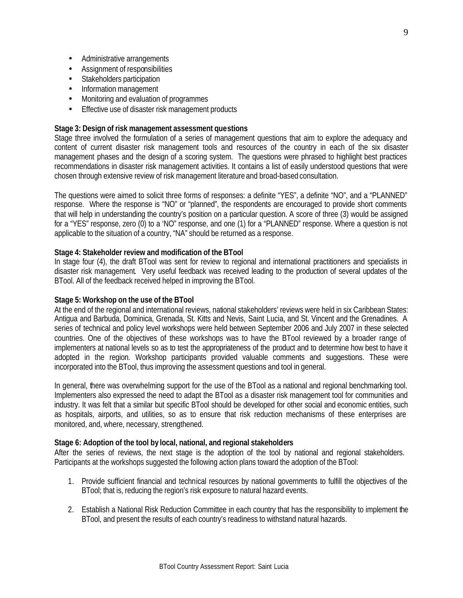- Administrative arrangements
- Assignment of responsibilities
- Stakeholders participation
- Information management
- Monitoring and evaluation of programmes
- Effective use of disaster risk management products

## **Stage 3: Design of risk management assessment questions**

Stage three involved the formulation of a series of management questions that aim to explore the adequacy and content of current disaster risk management tools and resources of the country in each of the six disaster management phases and the design of a scoring system. The questions were phrased to highlight best practices recommendations in disaster risk management activities. It contains a list of easily understood questions that were chosen through extensive review of risk management literature and broad-based consultation.

The questions were aimed to solicit three forms of responses: a definite "YES", a definite "NO", and a "PLANNED" response. Where the response is "NO" or "planned", the respondents are encouraged to provide short comments that will help in understanding the country's position on a particular question. A score of three (3) would be assigned for a "YES" response, zero (0) to a 'NO" response, and one (1) for a "PLANNED" response. Where a question is not applicable to the situation of a country, "NA" should be returned as a response.

## **Stage 4: Stakeholder review and modification of the BTool**

In stage four (4), the draft BTool was sent for review to regional and international practitioners and specialists in disaster risk management. Very useful feedback was received leading to the production of several updates of the BTool. All of the feedback received helped in improving the BTool.

#### **Stage 5: Workshop on the use of the BTool**

At the end of the regional and international reviews, national stakeholders' reviews were held in six Caribbean States: Antigua and Barbuda, Dominica, Grenada, St. Kitts and Nevis, Saint Lucia, and St. Vincent and the Grenadines. A series of technical and policy level workshops were held between September 2006 and July 2007 in these selected countries. One of the objectives of these workshops was to have the BTool reviewed by a broader range of implementers at national levels so as to test the appropriateness of the product and to determine how best to have it adopted in the region. Workshop participants provided valuable comments and suggestions. These were incorporated into the BTool, thus improving the assessment questions and tool in general.

In general, there was overwhelming support for the use of the BTool as a national and regional benchmarking tool. Implementers also expressed the need to adapt the BTool as a disaster risk management tool for communities and industry. It was felt that a similar but specific BTool should be developed for other social and economic entities, such as hospitals, airports, and utilities, so as to ensure that risk reduction mechanisms of these enterprises are monitored, and, where, necessary, strengthened.

## **Stage 6: Adoption of the tool by local, national, and regional stakeholders**

After the series of reviews, the next stage is the adoption of the tool by national and regional stakeholders. Participants at the workshops suggested the following action plans toward the adoption of the BTool:

- 1. Provide sufficient financial and technical resources by national governments to fulfill the objectives of the BTool; that is, reducing the region's risk exposure to natural hazard events.
- 2. Establish a National Risk Reduction Committee in each country that has the responsibility to implement the BTool, and present the results of each country's readiness to withstand natural hazards.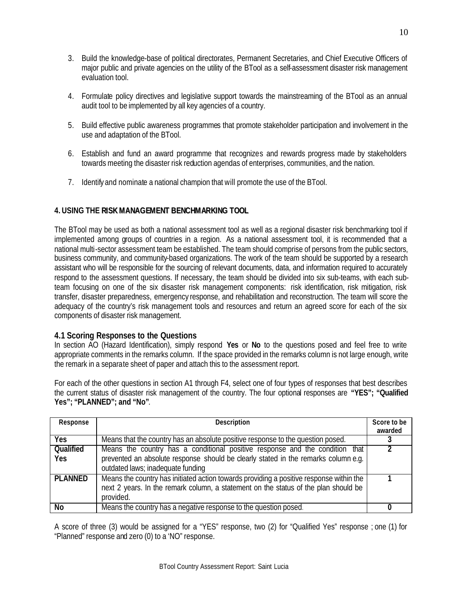- 3. Build the knowledge-base of political directorates, Permanent Secretaries, and Chief Executive Officers of major public and private agencies on the utility of the BTool as a self-assessment disaster risk management evaluation tool.
- 4. Formulate policy directives and legislative support towards the mainstreaming of the BTool as an annual audit tool to be implemented by all key agencies of a country.
- 5. Build effective public awareness programmes that promote stakeholder participation and involvement in the use and adaptation of the BTool.
- 6. Establish and fund an award programme that recognizes and rewards progress made by stakeholders towards meeting the disaster risk reduction agendas of enterprises, communities, and the nation.
- 7. Identify and nominate a national champion that will promote the use of the BTool.

## **4. USING THE RISKMANAGEMENT BENCHMARKING TOOL**

The BTool may be used as both a national assessment tool as well as a regional disaster risk benchmarking tool if implemented among groups of countries in a region. As a national assessment tool, it is recommended that a national multi-sector assessment team be established. The team should comprise of persons from the public sectors, business community, and community-based organizations. The work of the team should be supported by a research assistant who will be responsible for the sourcing of relevant documents, data, and information required to accurately respond to the assessment questions. If necessary, the team should be divided into six sub-teams, with each subteam focusing on one of the six disaster risk management components: risk identification, risk mitigation, risk transfer, disaster preparedness, emergency response, and rehabilitation and reconstruction. The team will score the adequacy of the country's risk management tools and resources and return an agreed score for each of the six components of disaster risk management.

## **4.1 Scoring Responses to the Questions**

In section AO (Hazard Identification), simply respond **Yes** or **No** to the questions posed and feel free to write appropriate comments in the remarks column. If the space provided in the remarks column is not large enough, write the remark in a separate sheet of paper and attach this to the assessment report.

For each of the other questions in section A1 through F4, select one of four types of responses that best describes the current status of disaster risk management of the country. The four optional responses are **"YES"; "Qualified Yes"; "PLANNED"; and "No"**.

| Response                       | Description                                                                                                                                                                                             | Score to be<br>awarded |
|--------------------------------|---------------------------------------------------------------------------------------------------------------------------------------------------------------------------------------------------------|------------------------|
| Yes                            | Means that the country has an absolute positive response to the question posed.                                                                                                                         |                        |
| <b>Qualified</b><br><b>Yes</b> | Means the country has a conditional positive response and the condition that<br>prevented an absolute response should be clearly stated in the remarks column e.g.<br>outdated laws; inadequate funding |                        |
| <b>PLANNED</b>                 | Means the country has initiated action towards providing a positive response within the<br>next 2 years. In the remark column, a statement on the status of the plan should be<br>provided.             |                        |
| <b>No</b>                      | Means the country has a negative response to the question posed.                                                                                                                                        |                        |

A score of three (3) would be assigned for a "YES" response, two (2) for "Qualified Yes" response ; one (1) for "Planned" response and zero (0) to a 'NO" response.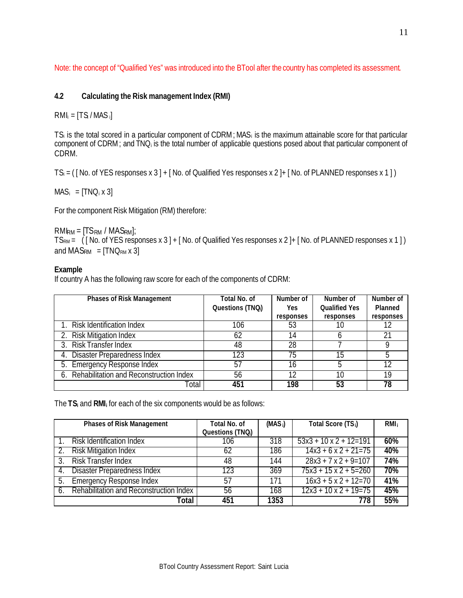Note: the concept of "Qualified Yes" was introduced into the BTool after the country has completed its assessment.

## **4.2 Calculating the Risk management Index (RMI)**

 $RMI_i = [TS/MAS_i]$ 

TS<sub>i</sub> is the total scored in a particular component of CDRM; MAS<sub>i</sub> is the maximum attainable score for that particular component of CDRM; and TNQ<sup>i</sup> is the total number of applicable questions posed about that particular component of CDRM.

 $TS_i = ($  [No. of YES responses x 3 ] + [No. of Qualified Yes responses x 2 ]+ [No. of PLANNED responses x 1 ])

 $MAS_i = [TNO_i \times 3]$ 

For the component Risk Mitigation (RM) therefore:

 $RMI_{RM} = [TS_{RM} / MAS_{RM}]$ ;  $TS_{RM} = (N_0 \text{ of } YES \text{ responses } x \text{ and } YES \text{ is the same as } S = N_0 \text{ to } S = N_1 \text{ to } S = N_1 \text{ to } S = N_2 \text{ to } S = N_1 \text{ to } S = N_2 \text{ to } S = N_1 \text{ to } S = N_2 \text{ to } S = N_1 \text{ to } S = N_2 \text{ to } S = N_1 \text{ to } S = N_2 \text{ to } S = N_1 \text{ to } S = N_2 \text{ to } S = N_1 \text{ to } S = N_2 \text{ to } S = N_1 \text{ to } S = N_2 \text{ to } S = N$ and  $MAS_{RM} = [TNO_{RM} \times 3]$ 

## **Example**

If country A has the following raw score for each of the components of CDRM:

| <b>Phases of Risk Management</b>           | <b>Total No. of</b> | Number of | Number of            | Number of |
|--------------------------------------------|---------------------|-----------|----------------------|-----------|
|                                            | Questions (TNQ;)    | Yes       | <b>Qualified Yes</b> | Planned   |
|                                            |                     | responses | responses            | responses |
| 1. Risk Identification Index               | 106                 | 53        | 10                   |           |
| 2. Risk Mitigation Index                   | 62                  | 14        |                      |           |
| 3. Risk Transfer Index                     | 48                  | 28        |                      |           |
| 4. Disaster Preparedness Index             | 123                 | 75        | 15                   | .h        |
| 5. Emergency Response Index                | 57                  | 16        |                      | 12        |
| 6. Rehabilitation and Reconstruction Index | 56                  | 12        | 10                   | 19        |
| Total                                      | 451                 | 198       | 53                   | 78        |

The **TS<sup>i</sup>** and **RMI<sup>i</sup>** for each of the six components would be as follows:

|    | <b>Phases of Risk Management</b>           | Total No. of<br>Questions (TNQ;) | $(MAS_i)$ | Total Score (TS <sub>i</sub> ) | RMI <sub>i</sub> |
|----|--------------------------------------------|----------------------------------|-----------|--------------------------------|------------------|
|    | <b>Risk Identification Index</b>           | 106                              | 318       | $53x3 + 10x2 + 12=191$         | 60%              |
|    | 2. Risk Mitigation Index                   | 62                               | 186       | $14x3 + 6x2 + 21 = 75$         | 40%              |
| 3. | <b>Risk Transfer Index</b>                 | 48                               | 144       | $28x3 + 7x2 + 9=107$           | 74%              |
| 4. | Disaster Preparedness Index                | 123                              | 369       | $75x3 + 15x2 + 5=260$          | 70%              |
| 5. | <b>Emergency Response Index</b>            | 57                               | 171       | $16x3 + 5x2 + 12=70$           | 41%              |
|    | 6. Rehabilitation and Reconstruction Index | 56                               | 168       | $12x3 + 10x2 + 19 = 75$        | 45%              |
|    | Total                                      | 451                              | 1353      | 778                            | 55%              |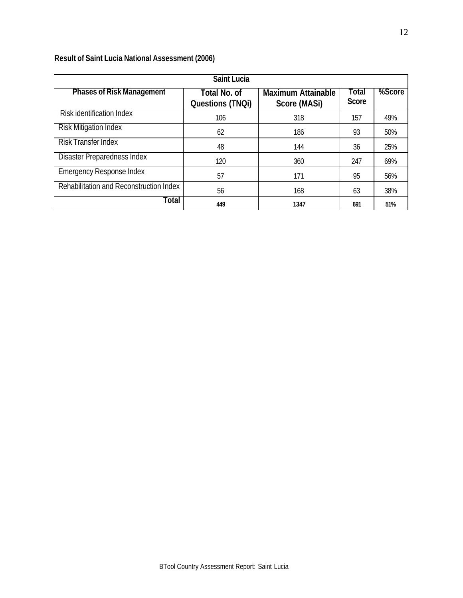## **Result of Saint Lucia National Assessment (2006)**

| <b>Saint Lucia</b>                      |                                                |                                           |                       |        |  |  |
|-----------------------------------------|------------------------------------------------|-------------------------------------------|-----------------------|--------|--|--|
| <b>Phases of Risk Management</b>        | <b>Total No. of</b><br><b>Questions (TNQi)</b> | <b>Maximum Attainable</b><br>Score (MASi) | Total<br><b>Score</b> | %Score |  |  |
| Risk identification Index               | 106                                            | 318                                       | 157                   | 49%    |  |  |
| <b>Risk Mitigation Index</b>            | 62                                             | 186                                       | 93                    | 50%    |  |  |
| <b>Risk Transfer Index</b>              | 48                                             | 144                                       | 36                    | 25%    |  |  |
| <b>Disaster Preparedness Index</b>      | 120                                            | 360                                       | 247                   | 69%    |  |  |
| <b>Emergency Response Index</b>         | 57                                             | 171                                       | 95                    | 56%    |  |  |
| Rehabilitation and Reconstruction Index | 56                                             | 168                                       | 63                    | 38%    |  |  |
| Total                                   | 449                                            | 1347                                      | 691                   | 51%    |  |  |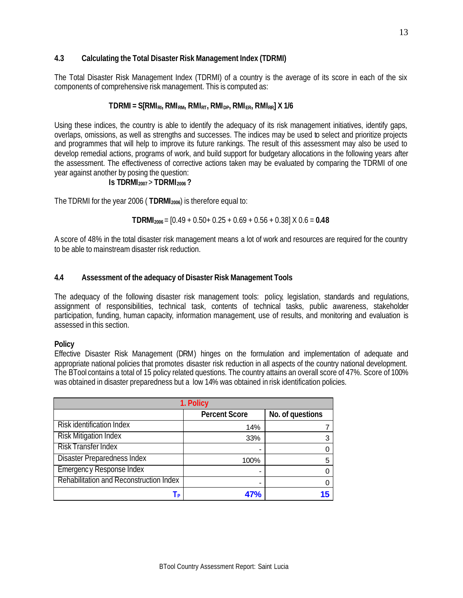## **4.3 Calculating the Total Disaster Risk Management Index (TDRMI)**

The Total Disaster Risk Management Index (TDRMI) of a country is the average of its score in each of the six components of comprehensive risk management. This is computed as:

## $TDRMI = S[RMI_{RI}$ ,  $RMI_{RM}$ ,  $RMI_{RT}$ ,  $RMI_{DP}$ ,  $RMI_{ER}$ ,  $RMI_{RR}$   $X$  1/6

Using these indices, the country is able to identify the adequacy of its risk management initiatives, identify gaps, overlaps, omissions, as well as strengths and successes. The indices may be used to select and prioritize projects and programmes that will help to improve its future rankings. The result of this assessment may also be used to develop remedial actions, programs of work, and build support for budgetary allocations in the following years after the assessment. The effectiveness of corrective actions taken may be evaluated by comparing the TDRMI of one year against another by posing the question:

## **Is TDRMI2007** > **TDRMI2006 ?**

The TDRMI for the year 2006 ( **TDRMI2006**) is therefore equal to:

**TDRMI2006** = [0.49 + 0.50+ 0.25 + 0.69 + 0.56 + 0.38] X 0.6 = **0.48**

A score of 48% in the total disaster risk management means a lot of work and resources are required for the country to be able to mainstream disaster risk reduction.

## **4.4 Assessment of the adequacy of Disaster Risk Management Tools**

The adequacy of the following disaster risk management tools: policy, legislation, standards and regulations, assignment of responsibilities, technical task, contents of technical tasks, public awareness, stakeholder participation, funding, human capacity, information management, use of results, and monitoring and evaluation is assessed in this section.

## **Policy**

Effective Disaster Risk Management (DRM) hinges on the formulation and implementation of adequate and appropriate national policies that promotes disaster risk reduction in all aspects of the country national development. The BTool contains a total of 15 policy related questions. The country attains an overall score of 47%. Score of 100% was obtained in disaster preparedness but a low 14% was obtained in risk identification policies.

| 1. Policy                               |                      |                  |  |  |
|-----------------------------------------|----------------------|------------------|--|--|
|                                         | <b>Percent Score</b> | No. of questions |  |  |
| <b>Risk identification Index</b>        | 14%                  |                  |  |  |
| <b>Risk Mitigation Index</b>            | 33%                  | 3                |  |  |
| <b>Risk Transfer Index</b>              |                      |                  |  |  |
| <b>Disaster Preparedness Index</b>      | 100%                 | 5                |  |  |
| Emergency Response Index                |                      |                  |  |  |
| Rehabilitation and Reconstruction Index |                      |                  |  |  |
| l P                                     | 47%                  |                  |  |  |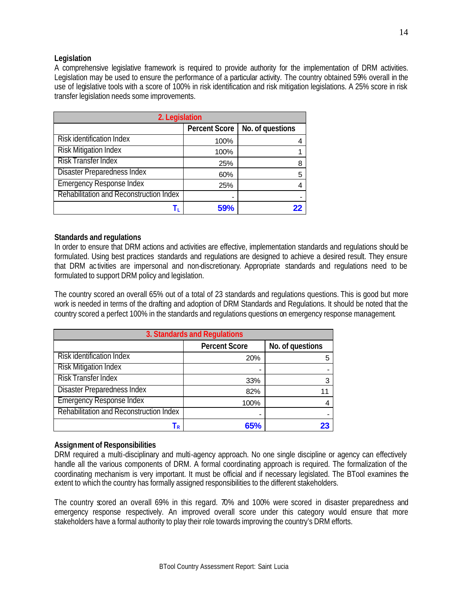## **Legislation**

A comprehensive legislative framework is required to provide authority for the implementation of DRM activities. Legislation may be used to ensure the performance of a particular activity. The country obtained 59% overall in the use of legislative tools with a score of 100% in risk identification and risk mitigation legislations. A 25% score in risk transfer legislation needs some improvements.

| 2. Legislation                          |                      |                  |  |  |
|-----------------------------------------|----------------------|------------------|--|--|
|                                         | <b>Percent Score</b> | No. of questions |  |  |
| <b>Risk identification Index</b>        | 100%                 |                  |  |  |
| <b>Risk Mitigation Index</b>            | 100%                 |                  |  |  |
| Risk Transfer Index                     | 25%                  | 8                |  |  |
| <b>Disaster Preparedness Index</b>      | 60%                  | 5                |  |  |
| <b>Emergency Response Index</b>         | 25%                  |                  |  |  |
| Rehabilitation and Reconstruction Index |                      |                  |  |  |
| T,                                      | <b>59%</b>           |                  |  |  |

## **Standards and regulations**

In order to ensure that DRM actions and activities are effective, implementation standards and regulations should be formulated. Using best practices standards and regulations are designed to achieve a desired result. They ensure that DRM ac tivities are impersonal and non-discretionary. Appropriate standards and regulations need to be formulated to support DRM policy and legislation.

The country scored an overall 65% out of a total of 23 standards and regulations questions. This is good but more work is needed in terms of the drafting and adoption of DRM Standards and Regulations. It should be noted that the country scored a perfect 100% in the standards and regulations questions on emergency response management.

| 3. Standards and Regulations            |                      |                  |  |
|-----------------------------------------|----------------------|------------------|--|
|                                         | <b>Percent Score</b> | No. of questions |  |
| <b>Risk identification Index</b>        | 20%                  | 5                |  |
| <b>Risk Mitigation Index</b>            |                      |                  |  |
| <b>Risk Transfer Index</b>              | 33%                  | 3                |  |
| <b>Disaster Preparedness Index</b>      | 82%                  | 11               |  |
| <b>Emergency Response Index</b>         | 100%                 |                  |  |
| Rehabilitation and Reconstruction Index |                      |                  |  |
| Тĸ                                      | 65%                  | 23               |  |

## **Assignment of Responsibilities**

DRM required a multi-disciplinary and multi-agency approach. No one single discipline or agency can effectively handle all the various components of DRM. A formal coordinating approach is required. The formalization of the coordinating mechanism is very important. It must be official and if necessary legislated. The BTool examines the extent to which the country has formally assigned responsibilities to the different stakeholders.

The country scored an overall 69% in this regard. 70% and 100% were scored in disaster preparedness and emergency response respectively. An improved overall score under this category would ensure that more stakeholders have a formal authority to play their role towards improving the country's DRM efforts.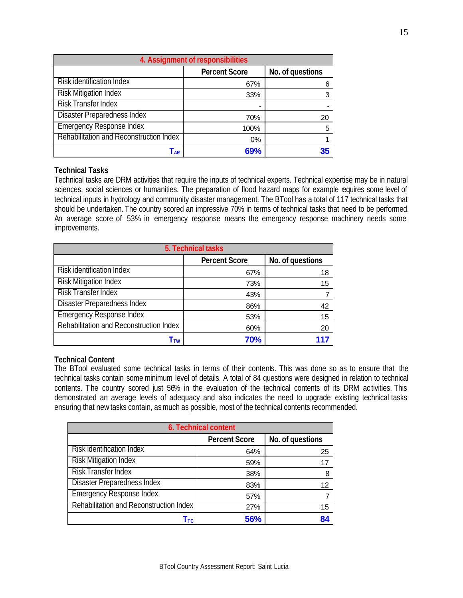| 4. Assignment of responsibilities       |                      |                  |  |
|-----------------------------------------|----------------------|------------------|--|
|                                         | <b>Percent Score</b> | No. of questions |  |
| <b>Risk identification Index</b>        | 67%                  |                  |  |
| <b>Risk Mitigation Index</b>            | 33%                  | 3                |  |
| <b>Risk Transfer Index</b>              |                      |                  |  |
| <b>Disaster Preparedness Index</b>      | 70%                  | 20               |  |
| <b>Emergency Response Index</b>         | 100%                 | 5                |  |
| Rehabilitation and Reconstruction Index | $0\%$                |                  |  |
| l ar                                    | 69%                  |                  |  |

## **Technical Tasks**

Technical tasks are DRM activities that require the inputs of technical experts. Technical expertise may be in natural sciences, social sciences or humanities. The preparation of flood hazard maps for example requires some level of technical inputs in hydrology and community disaster management. The BTool has a total of 117 technical tasks that should be undertaken. The country scored an impressive 70% in terms of technical tasks that need to be performed. An average score of 53% in emergency response means the emergency response machinery needs some improvements.

| 5. Technical tasks                       |     |    |  |  |  |  |  |
|------------------------------------------|-----|----|--|--|--|--|--|
| No. of questions<br><b>Percent Score</b> |     |    |  |  |  |  |  |
| <b>Risk identification Index</b>         | 67% | 18 |  |  |  |  |  |
| <b>Risk Mitigation Index</b>             | 73% | 15 |  |  |  |  |  |
| <b>Risk Transfer Index</b>               | 43% |    |  |  |  |  |  |
| Disaster Preparedness Index              | 86% | 42 |  |  |  |  |  |
| <b>Emergency Response Index</b>          | 53% | 15 |  |  |  |  |  |
| Rehabilitation and Reconstruction Index  | 60% | 20 |  |  |  |  |  |
| Ttw                                      | 70% |    |  |  |  |  |  |

## **Technical Content**

The BTool evaluated some technical tasks in terms of their contents. This was done so as to ensure that the technical tasks contain some minimum level of details. A total of 84 questions were designed in relation to technical contents. The country scored just 56% in the evaluation of the technical contents of its DRM ac tivities. This demonstrated an average levels of adequacy and also indicates the need to upgrade existing technical tasks ensuring that new tasks contain, as much as possible, most of the technical contents recommended.

| 6. Technical content                    |                      |                  |  |  |  |
|-----------------------------------------|----------------------|------------------|--|--|--|
|                                         | <b>Percent Score</b> | No. of questions |  |  |  |
| Risk identification Index               | 64%                  | 25               |  |  |  |
| <b>Risk Mitigation Index</b>            | 59%                  | 17               |  |  |  |
| <b>Risk Transfer Index</b>              | 38%                  | 8                |  |  |  |
| <b>Disaster Preparedness Index</b>      | 83%                  | 12               |  |  |  |
| <b>Emergency Response Index</b>         | 57%                  |                  |  |  |  |
| Rehabilitation and Reconstruction Index | 27%                  | 15               |  |  |  |
| Ттс                                     | 56%                  | 84               |  |  |  |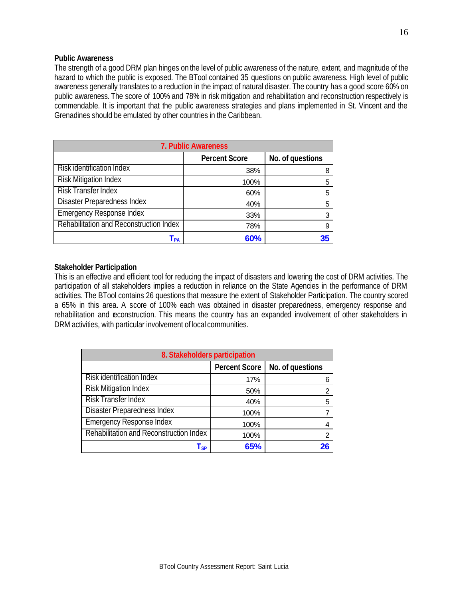## **Public Awareness**

The strength of a good DRM plan hinges on the level of public awareness of the nature, extent, and magnitude of the hazard to which the public is exposed. The BTool contained 35 questions on public awareness. High level of public awareness generally translates to a reduction in the impact of natural disaster. The country has a good score 60% on public awareness. The score of 100% and 78% in risk mitigation and rehabilitation and reconstruction respectively is commendable. It is important that the public awareness strategies and plans implemented in St. Vincent and the Grenadines should be emulated by other countries in the Caribbean.

| 7. Public Awareness                      |      |   |  |  |  |  |  |  |
|------------------------------------------|------|---|--|--|--|--|--|--|
| No. of questions<br><b>Percent Score</b> |      |   |  |  |  |  |  |  |
| Risk identification Index                | 38%  | 8 |  |  |  |  |  |  |
| <b>Risk Mitigation Index</b>             | 100% | 5 |  |  |  |  |  |  |
| <b>Risk Transfer Index</b>               | 60%  | 5 |  |  |  |  |  |  |
| Disaster Preparedness Index              | 40%  | 5 |  |  |  |  |  |  |
| <b>Emergency Response Index</b>          | 33%  | 3 |  |  |  |  |  |  |
| Rehabilitation and Reconstruction Index  | 78%  | 9 |  |  |  |  |  |  |
| l pa                                     | 60%  |   |  |  |  |  |  |  |

## **Stakeholder Participation**

This is an effective and efficient tool for reducing the impact of disasters and lowering the cost of DRM activities. The participation of all stakeholders implies a reduction in reliance on the State Agencies in the performance of DRM activities. The BTool contains 26 questions that measure the extent of Stakeholder Participation. The country scored a 65% in this area. A score of 100% each was obtained in disaster preparedness, emergency response and rehabilitation and reconstruction. This means the country has an expanded involvement of other stakeholders in DRM activities, with particular involvement of local communities.

| 8. Stakeholders participation           |                      |                  |  |  |  |
|-----------------------------------------|----------------------|------------------|--|--|--|
|                                         | <b>Percent Score</b> | No. of questions |  |  |  |
| Risk identification Index               | 17%                  | 6                |  |  |  |
| <b>Risk Mitigation Index</b>            | 50%                  | 2                |  |  |  |
| <b>Risk Transfer Index</b>              | 40%                  | 5                |  |  |  |
| <b>Disaster Preparedness Index</b>      | 100%                 |                  |  |  |  |
| <b>Emergency Response Index</b>         | 100%                 | 4                |  |  |  |
| Rehabilitation and Reconstruction Index | 100%                 | $\overline{2}$   |  |  |  |
| $\mathsf{T}_{\mathsf{SP}}$              | 65%                  | 26               |  |  |  |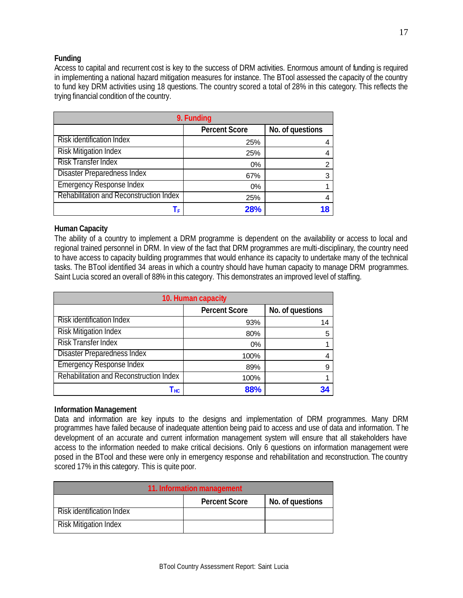## **Funding**

Access to capital and recurrent cost is key to the success of DRM activities. Enormous amount of funding is required in implementing a national hazard mitigation measures for instance. The BTool assessed the capacity of the country to fund key DRM activities using 18 questions. The country scored a total of 28% in this category. This reflects the trying financial condition of the country.

| 9. Funding                              |                      |                  |  |  |  |
|-----------------------------------------|----------------------|------------------|--|--|--|
|                                         | <b>Percent Score</b> | No. of questions |  |  |  |
| Risk identification Index               | 25%                  | 4                |  |  |  |
| <b>Risk Mitigation Index</b>            | 25%                  | 4                |  |  |  |
| <b>Risk Transfer Index</b>              | $0\%$                | 2                |  |  |  |
| <b>Disaster Preparedness Index</b>      | 67%                  | 3                |  |  |  |
| <b>Emergency Response Index</b>         | 0%                   |                  |  |  |  |
| Rehabilitation and Reconstruction Index | 25%                  | 4                |  |  |  |
|                                         | 28%                  | 18               |  |  |  |

## **Human Capacity**

The ability of a country to implement a DRM programme is dependent on the availability or access to local and regional trained personnel in DRM. In view of the fact that DRM programmes are multi-disciplinary, the country need to have access to capacity building programmes that would enhance its capacity to undertake many of the technical tasks. The BTool identified 34 areas in which a country should have human capacity to manage DRM programmes. Saint Lucia scored an overall of 88% in this category. This demonstrates an improved level of staffing.

| 10. Human capacity                      |                      |                  |  |  |  |
|-----------------------------------------|----------------------|------------------|--|--|--|
|                                         | <b>Percent Score</b> | No. of questions |  |  |  |
| Risk identification Index               | 93%                  | 14               |  |  |  |
| <b>Risk Mitigation Index</b>            | 80%                  | 5                |  |  |  |
| <b>Risk Transfer Index</b>              | $0\%$                |                  |  |  |  |
| <b>Disaster Preparedness Index</b>      | 100%                 |                  |  |  |  |
| <b>Emergency Response Index</b>         | 89%                  | 9                |  |  |  |
| Rehabilitation and Reconstruction Index | 100%                 |                  |  |  |  |
| Гнс                                     | 88%                  |                  |  |  |  |

## **Information Management**

Data and information are key inputs to the designs and implementation of DRM programmes. Many DRM programmes have failed because of inadequate attention being paid to access and use of data and information. The development of an accurate and current information management system will ensure that all stakeholders have access to the information needed to make critical decisions. Only 6 questions on information management were posed in the BTool and these were only in emergency response and rehabilitation and reconstruction. The country scored 17% in this category. This is quite poor.

| 11. Information management               |  |  |  |  |  |  |
|------------------------------------------|--|--|--|--|--|--|
| No. of questions<br><b>Percent Score</b> |  |  |  |  |  |  |
| Risk identification Index                |  |  |  |  |  |  |
| <b>Risk Mitigation Index</b>             |  |  |  |  |  |  |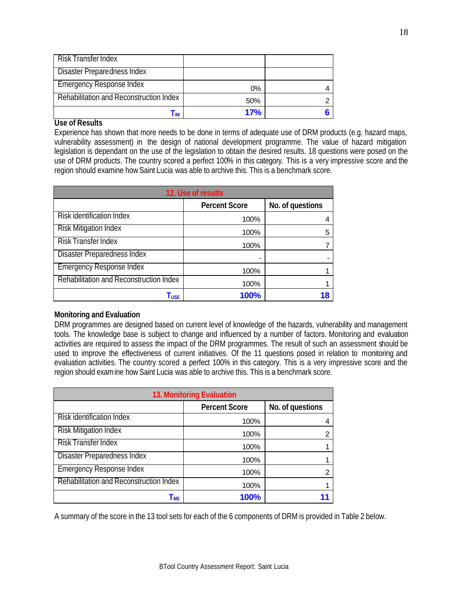| Risk Transfer Index                     |     |  |
|-----------------------------------------|-----|--|
| <b>Disaster Preparedness Index</b>      |     |  |
| <b>Emergency Response Index</b>         | 0%  |  |
| Rehabilitation and Reconstruction Index | 50% |  |
| l im                                    | 17% |  |

## **Use of Results**

Experience has shown that more needs to be done in terms of adequate use of DRM products (e.g. hazard maps, vulnerability assessment) in the design of national development programme. The value of hazard mitigation legislation is dependant on the use of the legislation to obtain the desired results. 18 questions were posed on the use of DRM products. The country scored a perfect 100% in this category. This is a very impressive score and the region should examine how Saint Lucia was able to archive this. This is a benchmark score.

| 12. Use of results                      |                      |                  |  |  |  |
|-----------------------------------------|----------------------|------------------|--|--|--|
|                                         | <b>Percent Score</b> | No. of questions |  |  |  |
| Risk identification Index               | 100%                 |                  |  |  |  |
| <b>Risk Mitigation Index</b>            | 100%                 | 5                |  |  |  |
| <b>Risk Transfer Index</b>              | 100%                 |                  |  |  |  |
| <b>Disaster Preparedness Index</b>      |                      |                  |  |  |  |
| <b>Emergency Response Index</b>         | 100%                 |                  |  |  |  |
| Rehabilitation and Reconstruction Index | 100%                 |                  |  |  |  |
| $\mathsf{T}_{\mathsf{USE}}$             | 100%                 |                  |  |  |  |

## **Monitoring and Evaluation**

DRM programmes are designed based on current level of knowledge of the hazards, vulnerability and management tools. The knowledge base is subject to change and influenced by a number of factors. Monitoring and evaluation activities are required to assess the impact of the DRM programmes. The result of such an assessment should be used to improve the effectiveness of current initiatives. Of the 11 questions posed in relation to monitoring and evaluation activities. The country scored a perfect 100% in this category. This is a very impressive score and the region should examine how Saint Lucia was able to archive this. This is a benchmark score.

| 13. Monitoring Evaluation                |      |   |  |  |  |  |  |
|------------------------------------------|------|---|--|--|--|--|--|
| <b>Percent Score</b><br>No. of questions |      |   |  |  |  |  |  |
| <b>Risk identification Index</b>         | 100% |   |  |  |  |  |  |
| <b>Risk Mitigation Index</b>             | 100% |   |  |  |  |  |  |
| <b>Risk Transfer Index</b>               | 100% |   |  |  |  |  |  |
| <b>Disaster Preparedness Index</b>       | 100% |   |  |  |  |  |  |
| <b>Emergency Response Index</b>          | 100% | ົ |  |  |  |  |  |
| Rehabilitation and Reconstruction Index  | 100% |   |  |  |  |  |  |
| I ME                                     | 100% |   |  |  |  |  |  |

A summary of the score in the 13 tool sets for each of the 6 components of DRM is provided in Table 2 below.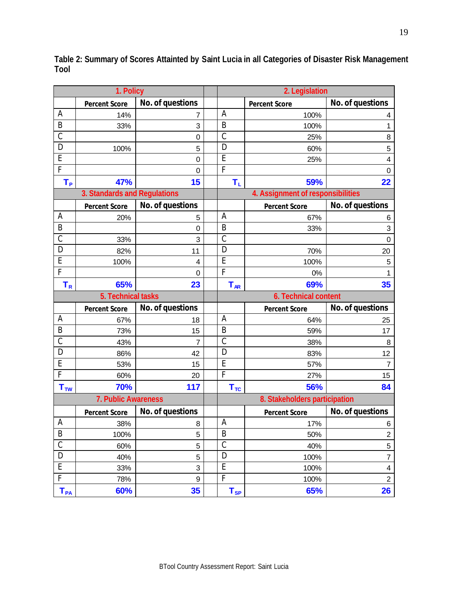|                | 1. Policy                    |                  | 2. Legislation |                                   |                          |
|----------------|------------------------------|------------------|----------------|-----------------------------------|--------------------------|
|                | <b>Percent Score</b>         | No. of questions |                | <b>Percent Score</b>              | No. of questions         |
| A              | 14%                          | 7                | A              | 100%                              | 4                        |
| $\sf B$        | 33%                          | 3                | B              | 100%                              | 1                        |
| $\mathcal{C}$  |                              | $\mathbf 0$      | $\mathcal{C}$  | 25%                               | 8                        |
| D              | 100%                         | 5                | D              | 60%                               | 5                        |
| $\overline{E}$ |                              | $\mathbf 0$      | E              | 25%                               | 4                        |
| $\overline{F}$ |                              | $\mathbf 0$      | F              |                                   | $\boldsymbol{0}$         |
| $T_{P}$        | 47%                          | 15               | $T_{\rm L}$    | 59%                               | 22                       |
|                | 3. Standards and Regulations |                  |                | 4. Assignment of responsibilities |                          |
|                | <b>Percent Score</b>         | No. of questions |                | <b>Percent Score</b>              | No. of questions         |
| А              | 20%                          | 5                | A              | 67%                               | 6                        |
| $\sf B$        |                              | $\mathbf 0$      | $\mathsf B$    | 33%                               | 3                        |
| $\mathsf C$    | 33%                          | 3                | C              |                                   | $\mathbf 0$              |
| D              | 82%                          | 11               | D              | 70%                               | 20                       |
| E              | 100%                         | $\overline{4}$   | E              | 100%                              | 5                        |
| $\overline{F}$ |                              | $\Omega$         | F              | 0%                                |                          |
| $T_R$          | 65%                          | 23               | $T_{AR}$       | 69%                               | 35                       |
|                | 5. Technical tasks           |                  |                | 6. Technical content              |                          |
|                | <b>Percent Score</b>         | No. of questions |                | <b>Percent Score</b>              | No. of questions         |
| A              | 67%                          | 18               | A              | 64%                               | 25                       |
| B              | 73%                          | 15               | B              | 59%                               | 17                       |
| $\mathsf C$    | 43%                          | $\overline{7}$   | $\mathsf C$    | 38%                               | 8                        |
| D              | 86%                          | 42               | D              | 83%                               | 12                       |
| E              | 53%                          | 15               | E              | 57%                               | $\overline{7}$           |
| $\overline{F}$ | 60%                          | 20               | F              | 27%                               | 15                       |
| $T_{TW}$       | 70%                          | 117              | $T_{TC}$       | 56%                               | 84                       |
|                | 7. Public Awareness          |                  |                | 8. Stakeholders participation     |                          |
|                | <b>Percent Score</b>         | No. of questions |                | <b>Percent Score</b>              | No. of questions         |
| A              | 38%                          | 8                | A              | 17%                               | 6                        |
| $\sf B$        | 100%                         | 5                | $\sf B$        | 50%                               | $\boldsymbol{2}$         |
| $\mathsf C$    | 60%                          | $\mathbf 5$      | $\mathsf C$    | 40%                               | 5                        |
| D              | 40%                          | 5                | D              | 100%                              | $\overline{\mathcal{I}}$ |
| E              | 33%                          | 3                | E              | 100%                              | $\overline{\mathcal{A}}$ |
| F              | 78%                          | 9                | F              | 100%                              | $\overline{c}$           |
|                |                              |                  |                |                                   |                          |

**Table 2: Summary of Scores Attainted by Saint Lucia in all Categories of Disaster Risk Management Tool**

L.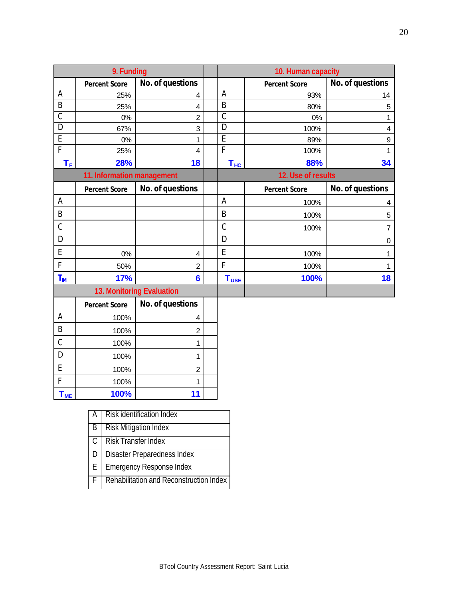|                           | 9. Funding                 |                  | 10. Human capacity |                      |                  |
|---------------------------|----------------------------|------------------|--------------------|----------------------|------------------|
|                           | <b>Percent Score</b>       | No. of questions |                    | <b>Percent Score</b> | No. of questions |
| A                         | 25%                        | 4                | A                  | 93%                  | 14               |
| B                         | 25%                        | 4                | B                  | 80%                  | 5                |
| $\mathcal{C}$             | 0%                         | $\overline{2}$   | $\mathsf{C}$       | 0%                   |                  |
| D                         | 67%                        | 3                | D                  | 100%                 | 4                |
| E                         | 0%                         | 1                | E                  | 89%                  | 9                |
| F                         | 25%                        | 4                | F                  | 100%                 |                  |
| $\mathsf{T}_\mathsf{F}$   | 28%                        | 18               | $T_{HC}$           | 88%                  | 34               |
|                           | 11. Information management |                  |                    | 12. Use of results   |                  |
|                           | <b>Percent Score</b>       | No. of questions |                    | <b>Percent Score</b> | No. of questions |
| A                         |                            |                  | A                  | 100%                 | 4                |
| B                         |                            |                  | B                  | 100%                 | 5                |
| C                         |                            |                  | C                  | 100%                 | $\overline{7}$   |
| D                         |                            |                  | D                  |                      | 0                |
| E                         | $0\%$                      | 4                | E                  | 100%                 | 1                |
| F                         | 50%                        | $\overline{2}$   | F                  | 100%                 | 1                |
| $T_{\text{IM}}$           | 17%                        | 6                | $T_{\text{USE}}$   | 100%                 | 18               |
| 13. Monitoring Evaluation |                            |                  |                    |                      |                  |
|                           | <b>Percent Score</b>       | No. of questions |                    |                      |                  |

|           | <b>Percent Score</b> | No. of questions |  |
|-----------|----------------------|------------------|--|
| А         | 100%                 | 4                |  |
| В         | 100%                 | 2                |  |
| Ć         | 100%                 |                  |  |
|           | 100%                 |                  |  |
| E         | 100%                 | 2                |  |
|           | 100%                 | 1                |  |
| <b>ME</b> | 100%                 | 11               |  |

|    | Risk identification Index               |
|----|-----------------------------------------|
| B  | <b>Risk Mitigation Index</b>            |
| C  | <b>Risk Transfer Index</b>              |
| D  | Disaster Preparedness Index             |
| E. | <b>Emergency Response Index</b>         |
| F. | Rehabilitation and Reconstruction Index |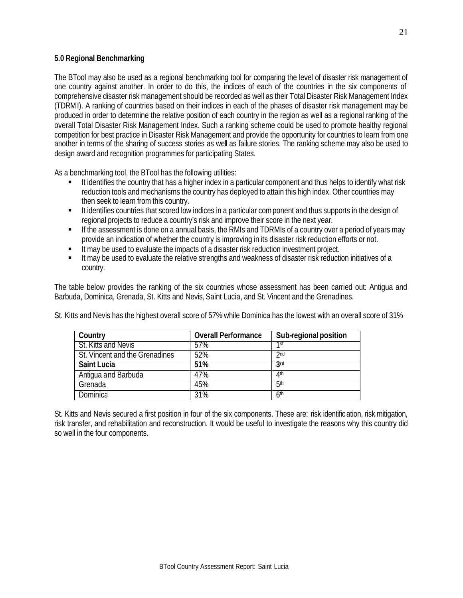## **5.0 Regional Benchmarking**

The BTool may also be used as a regional benchmarking tool for comparing the level of disaster risk management of one country against another. In order to do this, the indices of each of the countries in the six components of comprehensive disaster risk management should be recorded as well as their Total Disaster Risk Management Index (TDRMI). A ranking of countries based on their indices in each of the phases of disaster risk management may be produced in order to determine the relative position of each country in the region as well as a regional ranking of the overall Total Disaster Risk Management Index. Such a ranking scheme could be used to promote healthy regional competition for best practice in Disaster Risk Management and provide the opportunity for countries to learn from one another in terms of the sharing of success stories as well as failure stories. The ranking scheme may also be used to design award and recognition programmes for participating States.

As a benchmarking tool, the BTool has the following utilities:

- It identifies the country that has a higher index in a particular component and thus helps to identify what risk reduction tools and mechanisms the country has deployed to attain this high index. Other countries may then seek to learn from this country.
- **It identifies countries that scored low indices in a particular component and thus supports in the design of** regional projects to reduce a country's risk and improve their score in the next year.
- **F** If the assessment is done on a annual basis, the RMIs and TDRMIs of a country over a period of years may provide an indication of whether the country is improving in its disaster risk reduction efforts or not.
- It may be used to evaluate the impacts of a disaster risk reduction investment project.
- It may be used to evaluate the relative strengths and weakness of disaster risk reduction initiatives of a country.

The table below provides the ranking of the six countries whose assessment has been carried out: Antigua and Barbuda, Dominica, Grenada, St. Kitts and Nevis, Saint Lucia, and St. Vincent and the Grenadines.

St. Kitts and Nevis has the highest overall score of 57% while Dominica has the lowest with an overall score of 31%

| Country                        | <b>Overall Performance</b> | Sub-regional position |
|--------------------------------|----------------------------|-----------------------|
| St. Kitts and Nevis            | 57%                        | 1st                   |
| St. Vincent and the Grenadines | 52%                        | 2 <sub>nd</sub>       |
| <b>Saint Lucia</b>             | 51%                        | 3rd                   |
| Antigua and Barbuda            | 47%                        | 4 <sup>th</sup>       |
| Grenada                        | 45%                        | 5 <sup>th</sup>       |
| Dominica                       | 31%                        | 6 <sup>th</sup>       |

St. Kitts and Nevis secured a first position in four of the six components. These are: risk identification, risk mitigation, risk transfer, and rehabilitation and reconstruction. It would be useful to investigate the reasons why this country did so well in the four components.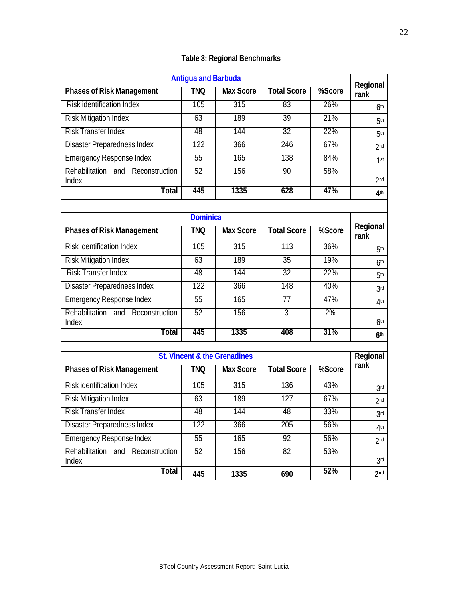| <b>Table 3: Regional Benchmarks</b> |  |
|-------------------------------------|--|
|-------------------------------------|--|

| <b>Antigua and Barbuda</b>                    |                  |                  |                    |        |                                    |
|-----------------------------------------------|------------------|------------------|--------------------|--------|------------------------------------|
| <b>Phases of Risk Management</b>              | tnq              | <b>Max Score</b> | <b>Total Score</b> | %Score | Regional<br>rank                   |
| <b>Risk identification Index</b>              | 105              | 315              | 83                 | 26%    | 6 <sup>th</sup>                    |
| <b>Risk Mitigation Index</b>                  | 63               | 189              | 39                 | 21%    | 5 <sup>th</sup>                    |
| <b>Risk Transfer Index</b>                    | 48               | 144              | 32                 | 22%    | 5 <sup>th</sup>                    |
| <b>Disaster Preparedness Index</b>            | 122              | 366              | 246                | 67%    | 2 <sub>nd</sub>                    |
| <b>Emergency Response Index</b>               | 55               | 165              | 138                | 84%    | 1 <sup>st</sup>                    |
| Rehabilitation and<br>Reconstruction<br>Index | 52               | 156              | 90                 | 58%    | 2 <sub>nd</sub>                    |
| Total                                         | 445              | 1335             | 628                | 47%    | 4 <sup>th</sup>                    |
|                                               |                  |                  |                    |        |                                    |
|                                               | <b>Dominica</b>  |                  |                    |        | Regional                           |
| <b>Phases of Risk Management</b>              | <b>TNQ</b>       | <b>Max Score</b> | <b>Total Score</b> | %Score | rank                               |
| Risk identification Index                     | 105              | 315              | 113                | 36%    | 5 <sup>th</sup>                    |
| <b>Risk Mitigation Index</b>                  | 63               | 189              | $\overline{35}$    | 19%    | 6 <sup>th</sup>                    |
| <b>Risk Transfer Index</b>                    | 48               | 144              | 32                 | 22%    | 5 <sup>th</sup>                    |
| <b>Disaster Preparedness Index</b>            | 122              | 366              | 148                | 40%    | 3 <sub>rd</sub>                    |
| <b>Emergency Response Index</b>               | $\overline{55}$  | 165              | 77                 | 47%    | 4 <sup>th</sup>                    |
| Rehabilitation and<br>Reconstruction<br>Index | 52               | 156              | $\overline{3}$     | 2%     | 6 <sup>th</sup>                    |
| <b>Total</b>                                  | 445              | 1335             | 408                | 31%    | 6 <sup>th</sup>                    |
| <b>St. Vincent &amp; the Grenadines</b>       |                  |                  |                    |        |                                    |
| <b>Phases of Risk Management</b>              | <b>TNQ</b>       | <b>Max Score</b> | <b>Total Score</b> | %Score | Regional<br>rank                   |
| <b>Risk identification Index</b>              | 105              | 315              | 136                | 43%    |                                    |
| <b>Risk Mitigation Index</b>                  | 63               | 189              | 127                | 67%    | 3 <sup>rd</sup>                    |
| Risk Transfer Index                           | 48               | 144              | 48                 | 33%    | 2 <sub>nd</sub><br>3 <sup>rd</sup> |
| <b>Disaster Preparedness Index</b>            | $\overline{122}$ | 366              | 205                | 56%    |                                    |
| <b>Emergency Response Index</b>               | 55               | 165              | 92                 | 56%    | 4 <sup>th</sup>                    |
| Rehabilitation and Reconstruction             | 52               | 156              | 82                 | 53%    | 2 <sub>nd</sub>                    |
| Index                                         |                  |                  |                    |        | 3 <sup>rd</sup>                    |
| <b>Total</b>                                  | 445              | 1335             | 690                | 52%    | 2 <sub>nd</sub>                    |